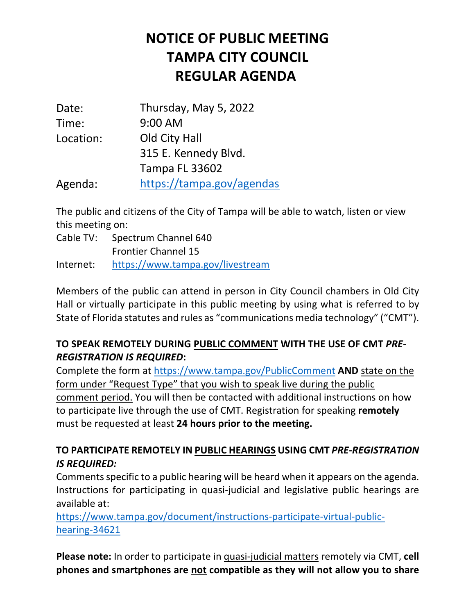## **NOTICE OF PUBLIC MEETING TAMPA CITY COUNCIL REGULAR AGENDA**

| Date:     | Thursday, May 5, 2022     |
|-----------|---------------------------|
| Time:     | 9:00 AM                   |
| Location: | Old City Hall             |
|           | 315 E. Kennedy Blvd.      |
|           | <b>Tampa FL 33602</b>     |
| Agenda:   | https://tampa.gov/agendas |

 The public and citizens of the City of Tampa will be able to watch, listen or view this meeting on:

 Cable TV: Spectrum Channel 640 Frontier Channel 15 Internet: https://www.tampa.gov/livestream

 Members of the public can attend in person in City Council chambers in Old City Hall or virtually participate in this public meeting by using what is referred to by State of Florida statutes and rules as "communications media technology" ("CMT").

## **TO SPEAK REMOTELY DURING PUBLIC COMMENT WITH THE USE OF CMT** *PRE-REGISTRATION IS REQUIRED***:**

 Complete the form at https://www.tampa.gov/PublicComment **AND** state on the form under "Request Type" that you wish to speak live during the public to participate live through the use of CMT. Registration for speaking **remotely**  must be requested at least **24 hours prior to the meeting.**  comment period. You will then be contacted with additional instructions on how

## **TO PARTICIPATE REMOTELY IN PUBLIC HEARINGS USING CMT** *PRE-REGISTRATION IS REQUIRED:*

 Comments specific to a public hearing will be heard when it appears on the agenda. Instructions for participating in quasi-judicial and legislative public hearings are available at:

https://www.tampa.gov/document/instructions-participate-virtual-publichearing-34621

 **Please note:** In order to participate in quasi-judicial matters remotely via CMT, **cell phones and smartphones are not compatible as they will not allow you to share**